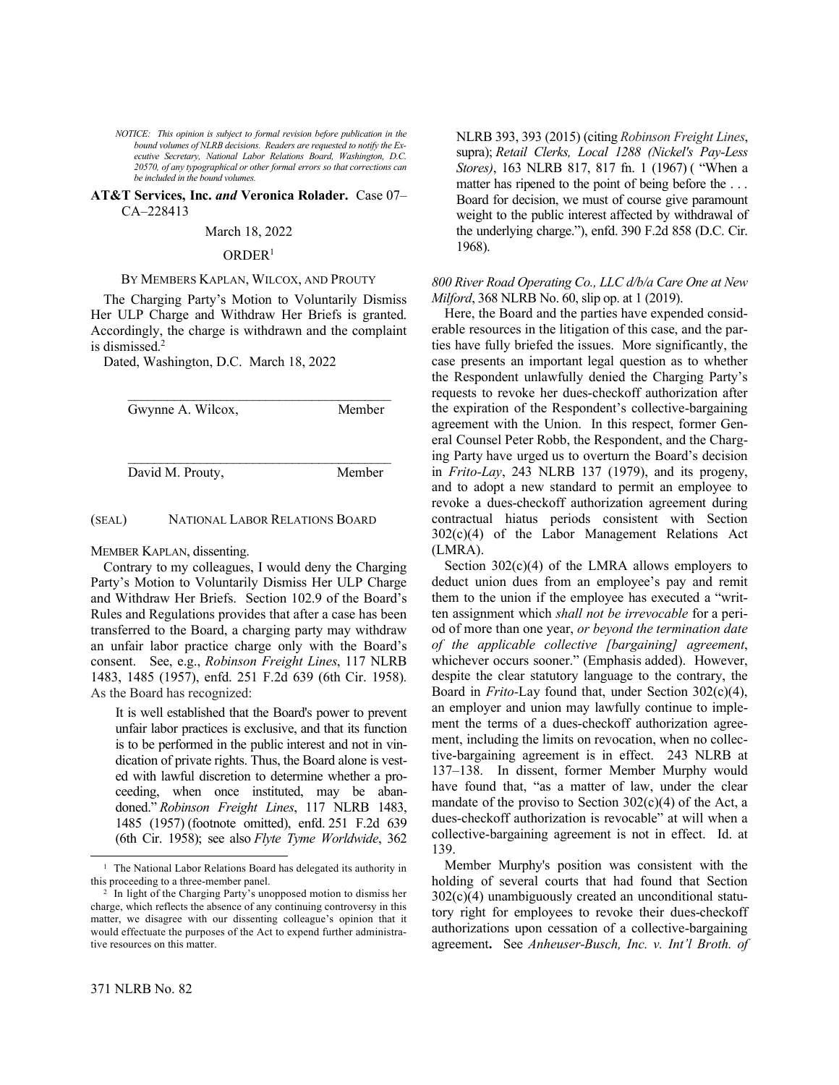*NOTICE: This opinion is subject to formal revision before publication in the bound volumes of NLRB decisions. Readers are requested to notify the Executive Secretary, National Labor Relations Board, Washington, D.C. 20570, of any typographical or other formal errors so that corrections can be included in the bound volumes.*

## **AT&T Services, Inc.** *and* **Veronica Rolader.** Case 07– CA–228413

# March 18, 2022

# ORDER<sup>1</sup>

## BY MEMBERS KAPLAN, WILCOX, AND PROUTY

The Charging Party's Motion to Voluntarily Dismiss Her ULP Charge and Withdraw Her Briefs is granted. Accordingly, the charge is withdrawn and the complaint is dismissed. 2

Dated, Washington, D.C. March 18, 2022

| Gwynne A. Wilcox, | Member |
|-------------------|--------|
|                   |        |

\_\_\_\_\_\_\_\_\_\_\_\_\_\_\_\_\_\_\_\_\_\_\_\_\_\_\_\_\_\_\_\_\_\_\_\_\_\_\_\_

David M. Prouty, Member

#### (SEAL) NATIONAL LABOR RELATIONS BOARD

MEMBER KAPLAN, dissenting.

Contrary to my colleagues, I would deny the Charging Party's Motion to Voluntarily Dismiss Her ULP Charge and Withdraw Her Briefs. Section 102.9 of the Board's Rules and Regulations provides that after a case has been transferred to the Board, a charging party may withdraw an unfair labor practice charge only with the Board's consent. See, e.g., *Robinson Freight Lines*, 117 NLRB 1483, 1485 (1957), enfd. 251 F.2d 639 (6th Cir. 1958). As the Board has recognized:

It is well established that the Board's power to prevent unfair labor practices is exclusive, and that its function is to be performed in the public interest and not in vindication of private rights. Thus, the Board alone is vested with lawful discretion to determine whether a proceeding, when once instituted, may be abandoned." *Robinson Freight Lines*, 117 NLRB 1483, 1485 (1957) (footnote omitted), enfd. 251 F.2d 639 (6th Cir. 1958); see also *Flyte Tyme Worldwide*, 362 NLRB 393, 393 (2015) (citing *Robinson Freight Lines*, supra); *Retail Clerks, Local 1288 (Nickel's Pay-Less Stores)*, 163 NLRB 817, 817 fn. 1 (1967) ( "When a matter has ripened to the point of being before the ... Board for decision, we must of course give paramount weight to the public interest affected by withdrawal of the underlying charge."), enfd. 390 F.2d 858 (D.C. Cir. 1968).

*800 River Road Operating Co., LLC d/b/a Care One at New Milford*, 368 NLRB No. 60, slip op. at 1 (2019).

Here, the Board and the parties have expended considerable resources in the litigation of this case, and the parties have fully briefed the issues. More significantly, the case presents an important legal question as to whether the Respondent unlawfully denied the Charging Party's requests to revoke her dues-checkoff authorization after the expiration of the Respondent's collective-bargaining agreement with the Union. In this respect, former General Counsel Peter Robb, the Respondent, and the Charging Party have urged us to overturn the Board's decision in *Frito-Lay*, 243 NLRB 137 (1979), and its progeny, and to adopt a new standard to permit an employee to revoke a dues-checkoff authorization agreement during contractual hiatus periods consistent with Section 302(c)(4) of the Labor Management Relations Act (LMRA).

Section  $302(c)(4)$  of the LMRA allows employers to deduct union dues from an employee's pay and remit them to the union if the employee has executed a "written assignment which *shall not be irrevocable* for a period of more than one year, *or beyond the termination date of the applicable collective [bargaining] agreement*, whichever occurs sooner." (Emphasis added). However, despite the clear statutory language to the contrary, the Board in *Frito-*Lay found that, under Section 302(c)(4), an employer and union may lawfully continue to implement the terms of a dues-checkoff authorization agreement, including the limits on revocation, when no collective-bargaining agreement is in effect. 243 NLRB at 137–138. In dissent, former Member Murphy would have found that, "as a matter of law, under the clear mandate of the proviso to Section  $302(c)(4)$  of the Act, a dues-checkoff authorization is revocable" at will when a collective-bargaining agreement is not in effect. Id. at 139.

Member Murphy's position was consistent with the holding of several courts that had found that Section 302(c)(4) unambiguously created an unconditional statutory right for employees to revoke their dues-checkoff authorizations upon cessation of a collective-bargaining agreement**.** See *Anheuser-Busch, Inc. v. Int'l Broth. of* 

<sup>&</sup>lt;sup>1</sup> The National Labor Relations Board has delegated its authority in this proceeding to a three-member panel.

<sup>2</sup> In light of the Charging Party's unopposed motion to dismiss her charge, which reflects the absence of any continuing controversy in this matter, we disagree with our dissenting colleague's opinion that it would effectuate the purposes of the Act to expend further administrative resources on this matter.